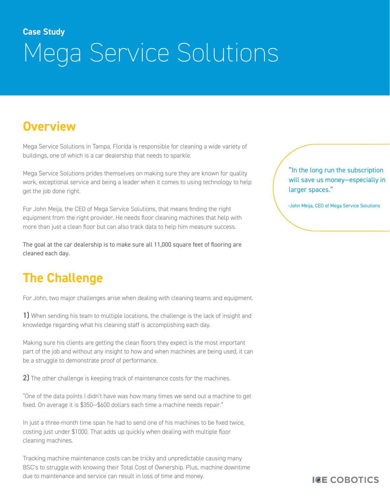# **Case Study** Mega Service Solutions

# **Overview**

Mega Service Solutions in Tampa, Florida is responsible for cleaning a wide variety of buildings, one of which is a car dealership that needs to sparkle.

Mega Service Solutions prides themselves on making sure they are known for quality work, exceptional service and being a leader when it comes to using technology to help get the job done right.

For John Meija, the CEO of Mega Service Solutions, that means finding the right equipment from the right provider. He needs floor cleaning machines that help with more than just a clean floor but can also track data to help him measure success.

The goal at the car dealership is to make sure all 11,000 square feet of flooring are cleaned each day.

### **The Challenge**

For John, two major challenges arise when dealing with cleaning teams and equipment.

1) When sending his team to multiple locations, the challenge is the lack of insight and knowledge regarding what his cleaning staff is accomplishing each day.

Making sure his clients are getting the clean floors they expect is the most important part of the job and without any insight to how and when machines are being used, it can be a struggle to demonstrate proof of performance.

2) The other challenge is keeping track of maintenance costs for the machines.

"One of the data points I didn't have was how many times we send out a machine to get fixed. On average it is \$350—\$600 dollars each time a machine needs repair."

In just a three-month time span he had to send one of his machines to be fixed twice, costing just under \$1000. That adds up quickly when dealing with multiple floor cleaning machines.

Tracking machine maintenance costs can be tricky and unpredictable causing many BSC's to struggle with knowing their Total Cost of Ownership. Plus, machine downtime due to maintenance and service can result in loss of time and money.

"In the long run the subscription will save us money—especially in larger spaces."

-John Meija, CEO of Mega Service Solutions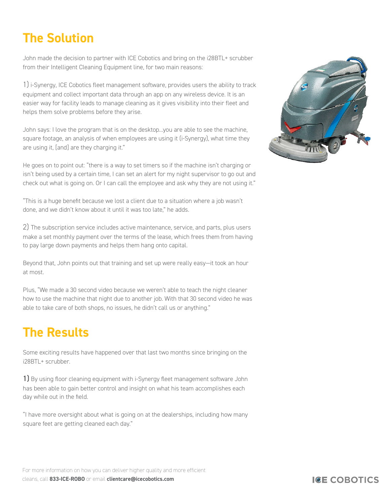# **The Solution**

John made the decision to partner with ICE Cobotics and bring on the i28BTL+ scrubber from their Intelligent Cleaning Equipment line, for two main reasons:

1) i-Synergy, ICE Cobotics fleet management software, provides users the ability to track equipment and collect important data through an app on any wireless device. It is an easier way for facility leads to manage cleaning as it gives visibility into their fleet and helps them solve problems before they arise.

John says: I love the program that is on the desktop...you are able to see the machine, square footage, an analysis of when employees are using it (i-Synergy), what time they are using it, [and] are they charging it."

He goes on to point out: "there is a way to set timers so if the machine isn't charging or isn't being used by a certain time, I can set an alert for my night supervisor to go out and check out what is going on. Or I can call the employee and ask why they are not using it."

"This is a huge benefit because we lost a client due to a situation where a job wasn't done, and we didn't know about it until it was too late," he adds.

2) The subscription service includes active maintenance, service, and parts, plus users make a set monthly payment over the terms of the lease, which frees them from having to pay large down payments and helps them hang onto capital.

Beyond that, John points out that training and set up were really easy—it took an hour at most.

Plus, "We made a 30 second video because we weren't able to teach the night cleaner how to use the machine that night due to another job. With that 30 second video he was able to take care of both shops, no issues, he didn't call us or anything."

## **The Results**

Some exciting results have happened over that last two months since bringing on the i28BTL+ scrubber.

1) By using floor cleaning equipment with i-Synergy fleet management software John has been able to gain better control and insight on what his team accomplishes each day while out in the field.

"I have more oversight about what is going on at the dealerships, including how many square feet are getting cleaned each day."



For more information on how you can deliver higher quality and more efficient cleans, call **833-ICE-ROBO** or email **clientcare@icecobotics.com**

#### **ICE COBOTICS**